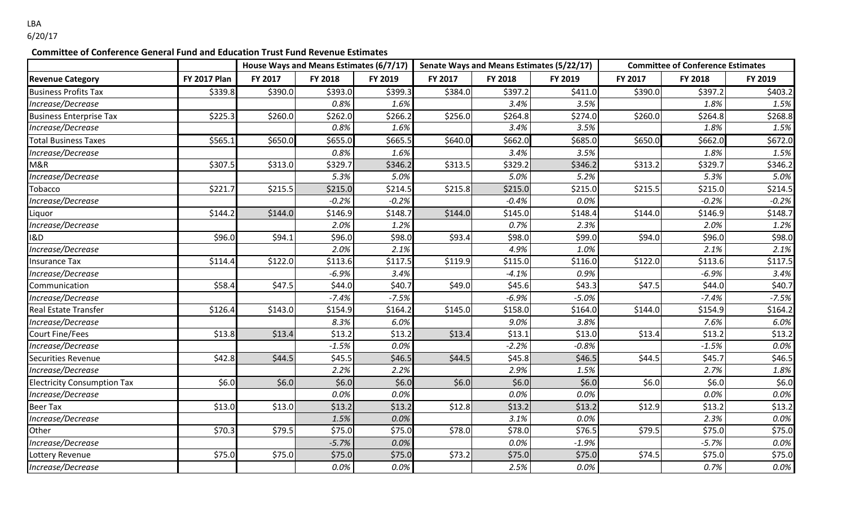LBA 6/20/17

## **Committee of Conference General Fund and Education Trust Fund Revenue Estimates**

|                                    |                     | House Ways and Means Estimates (6/7/17) Senate Ways and Means Estimates (5/22/17) |         |         |                     |         |         | <b>Committee of Conference Estimates</b> |         |         |
|------------------------------------|---------------------|-----------------------------------------------------------------------------------|---------|---------|---------------------|---------|---------|------------------------------------------|---------|---------|
| <b>Revenue Category</b>            | <b>FY 2017 Plan</b> | FY 2017                                                                           | FY 2018 | FY 2019 | FY 2017             | FY 2018 | FY 2019 | FY 2017                                  | FY 2018 | FY 2019 |
| <b>Business Profits Tax</b>        | \$339.8             | \$390.0                                                                           | \$393.0 | \$399.3 | $\overline{$}384.0$ | \$397.2 | \$411.0 | \$390.0                                  | \$397.2 | \$403.2 |
| Increase/Decrease                  |                     |                                                                                   | 0.8%    | 1.6%    |                     | 3.4%    | 3.5%    |                                          | 1.8%    | 1.5%    |
| <b>Business Enterprise Tax</b>     | \$225.3             | \$260.0                                                                           | \$262.0 | \$266.2 | \$256.0             | \$264.8 | \$274.0 | \$260.0                                  | \$264.8 | \$268.8 |
| Increase/Decrease                  |                     |                                                                                   | 0.8%    | 1.6%    |                     | 3.4%    | 3.5%    |                                          | 1.8%    | 1.5%    |
| <b>Total Business Taxes</b>        | \$565.1             | \$650.0                                                                           | \$655.0 | \$665.5 | \$640.0             | \$662.0 | \$685.0 | \$650.0                                  | \$662.0 | \$672.0 |
| Increase/Decrease                  |                     |                                                                                   | 0.8%    | 1.6%    |                     | 3.4%    | 3.5%    |                                          | 1.8%    | 1.5%    |
| M&R                                | \$307.5             | \$313.0                                                                           | \$329.7 | \$346.2 | \$313.5             | \$329.2 | \$346.2 | \$313.2                                  | \$329.7 | \$346.2 |
| Increase/Decrease                  |                     |                                                                                   | 5.3%    | 5.0%    |                     | 5.0%    | 5.2%    |                                          | 5.3%    | 5.0%    |
| Tobacco                            | \$221.7             | \$215.5                                                                           | \$215.0 | \$214.5 | \$215.8             | \$215.0 | \$215.0 | \$215.5                                  | \$215.0 | \$214.5 |
| Increase/Decrease                  |                     |                                                                                   | $-0.2%$ | $-0.2%$ |                     | $-0.4%$ | 0.0%    |                                          | $-0.2%$ | $-0.2%$ |
| iquor                              | \$144.2             | \$144.0                                                                           | \$146.9 | \$148.7 | \$144.0             | \$145.0 | \$148.4 | \$144.0                                  | \$146.9 | \$148.7 |
| Increase/Decrease                  |                     |                                                                                   | 2.0%    | 1.2%    |                     | 0.7%    | 2.3%    |                                          | 2.0%    | 1.2%    |
| I&D                                | \$96.0              | \$94.1                                                                            | \$96.0  | \$98.0  | \$93.4              | \$98.0  | \$99.0  | \$94.0                                   | \$96.0  | \$98.0  |
| Increase/Decrease                  |                     |                                                                                   | 2.0%    | 2.1%    |                     | 4.9%    | 1.0%    |                                          | 2.1%    | 2.1%    |
| Insurance Tax                      | \$114.4             | \$122.0                                                                           | \$113.6 | \$117.5 | \$119.9             | \$115.0 | \$116.0 | \$122.0                                  | \$113.6 | \$117.5 |
| Increase/Decrease                  |                     |                                                                                   | $-6.9%$ | 3.4%    |                     | $-4.1%$ | 0.9%    |                                          | $-6.9%$ | 3.4%    |
| Communication                      | \$58.4              | \$47.5                                                                            | \$44.0  | \$40.7  | \$49.0              | \$45.6  | \$43.3  | \$47.5                                   | \$44.0  | \$40.7  |
| Increase/Decrease                  |                     |                                                                                   | $-7.4%$ | $-7.5%$ |                     | $-6.9%$ | $-5.0%$ |                                          | $-7.4%$ | $-7.5%$ |
| Real Estate Transfer               | \$126.4             | \$143.0                                                                           | \$154.9 | \$164.2 | \$145.0             | \$158.0 | \$164.0 | \$144.0                                  | \$154.9 | \$164.2 |
| Increase/Decrease                  |                     |                                                                                   | 8.3%    | 6.0%    |                     | 9.0%    | 3.8%    |                                          | 7.6%    | 6.0%    |
| <b>Court Fine/Fees</b>             | \$13.8              | \$13.4                                                                            | \$13.2  | \$13.2  | \$13.4              | \$13.1  | \$13.0  | \$13.4                                   | \$13.2  | \$13.2  |
| Increase/Decrease                  |                     |                                                                                   | $-1.5%$ | 0.0%    |                     | $-2.2%$ | $-0.8%$ |                                          | $-1.5%$ | $0.0\%$ |
| Securities Revenue                 | \$42.8              | \$44.5                                                                            | \$45.5  | \$46.5  | \$44.5              | \$45.8  | \$46.5  | \$44.5                                   | \$45.7  | \$46.5  |
| Increase/Decrease                  |                     |                                                                                   | 2.2%    | 2.2%    |                     | 2.9%    | 1.5%    |                                          | 2.7%    | 1.8%    |
| <b>Electricity Consumption Tax</b> | \$6.0               | \$6.0                                                                             | \$6.0   | \$6.0   | \$6.0               | \$6.0   | \$6.0   | \$6.0                                    | \$6.0   | \$6.0   |
| Increase/Decrease                  |                     |                                                                                   | 0.0%    | 0.0%    |                     | 0.0%    | 0.0%    |                                          | 0.0%    | 0.0%    |
| <b>Beer Tax</b>                    | \$13.0              | \$13.0                                                                            | \$13.2  | \$13.2  | \$12.8              | \$13.2  | \$13.2  | \$12.9                                   | \$13.2  | \$13.2  |
| Increase/Decrease                  |                     |                                                                                   | 1.5%    | 0.0%    |                     | 3.1%    | 0.0%    |                                          | 2.3%    | 0.0%    |
| Other                              | \$70.3              | \$79.5                                                                            | \$75.0  | \$75.0  | \$78.0              | \$78.0  | \$76.5  | \$79.5                                   | \$75.0  | \$75.0  |
| Increase/Decrease                  |                     |                                                                                   | $-5.7%$ | 0.0%    |                     | 0.0%    | $-1.9%$ |                                          | $-5.7%$ | 0.0%    |
| Lottery Revenue                    | \$75.0              | \$75.0                                                                            | \$75.0  | \$75.0  | \$73.2              | \$75.0  | \$75.0  | \$74.5                                   | \$75.0  | \$75.0  |
| Increase/Decrease                  |                     |                                                                                   | 0.0%    | 0.0%    |                     | 2.5%    | 0.0%    |                                          | 0.7%    | 0.0%    |